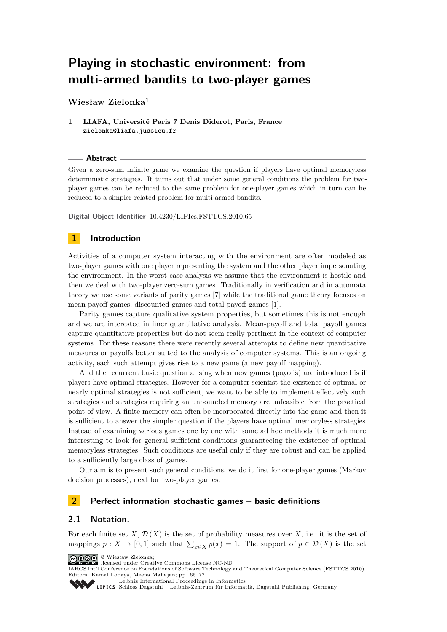# **Playing in stochastic environment: from multi-armed bandits to two-player games**

**Wiesław Zielonka<sup>1</sup>**

### **1 LIAFA, Université Paris 7 Denis Diderot, Paris, France zielonka@liafa.jussieu.fr**

#### **Abstract**

Given a zero-sum infinite game we examine the question if players have optimal memoryless deterministic strategies. It turns out that under some general conditions the problem for twoplayer games can be reduced to the same problem for one-player games which in turn can be reduced to a simpler related problem for multi-armed bandits.

**Digital Object Identifier** [10.4230/LIPIcs.FSTTCS.2010.65](http://dx.doi.org/10.4230/LIPIcs.FSTTCS.2010.65)

# **1 Introduction**

Activities of a computer system interacting with the environment are often modeled as two-player games with one player representing the system and the other player impersonating the environment. In the worst case analysis we assume that the environment is hostile and then we deal with two-player zero-sum games. Traditionally in verification and in automata theory we use some variants of parity games [\[7\]](#page-7-0) while the traditional game theory focuses on mean-payoff games, discounted games and total payoff games [\[1\]](#page-7-1).

Parity games capture qualitative system properties, but sometimes this is not enough and we are interested in finer quantitative analysis. Mean-payoff and total payoff games capture quantitative properties but do not seem really pertinent in the context of computer systems. For these reasons there were recently several attempts to define new quantitative measures or payoffs better suited to the analysis of computer systems. This is an ongoing activity, each such attempt gives rise to a new game (a new payoff mapping).

And the recurrent basic question arising when new games (payoffs) are introduced is if players have optimal strategies. However for a computer scientist the existence of optimal or nearly optimal strategies is not sufficient, we want to be able to implement effectively such strategies and strategies requiring an unbounded memory are unfeasible from the practical point of view. A finite memory can often be incorporated directly into the game and then it is sufficient to answer the simpler question if the players have optimal memoryless strategies. Instead of examining various games one by one with some ad hoc methods it is much more interesting to look for general sufficient conditions guaranteeing the existence of optimal memoryless strategies. Such conditions are useful only if they are robust and can be applied to a sufficiently large class of games.

Our aim is to present such general conditions, we do it first for one-player games (Markov decision processes), next for two-player games.

# **2 Perfect information stochastic games – basic definitions**

# **2.1 Notation.**

For each finite set *X*,  $\mathcal{D}(X)$  is the set of probability measures over *X*, i.e. it is the set of mappings  $p: X \to [0,1]$  such that  $\sum_{x \in X} p(x) = 1$ . The support of  $p \in \mathcal{D}(X)$  is the set



<sup>©</sup> Wiesław Zielonka; licensed under Creative Commons License NC-ND

IARCS Int'l Conference on Foundations of Software Technology and Theoretical Computer Science (FSTTCS 2010). Editors: Kamal Lodaya, Meena Mahajan; pp. 65[–72](#page-7-2)

[Leibniz International Proceedings in Informatics](http://www.dagstuhl.de/lipics/)

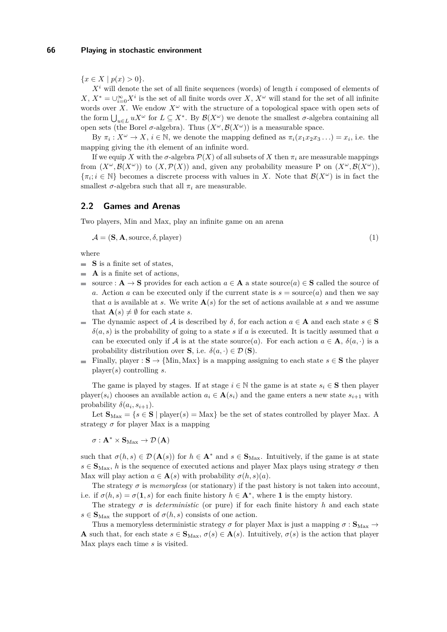${x \in X \mid p(x) > 0}.$ 

*X<sup>i</sup>* will denote the set of all finite sequences (words) of length *i* composed of elements of *X*,  $X^* = \bigcup_{i=0}^{\infty} X^i$  is the set of all finite words over *X*,  $X^{\omega}$  will stand for the set of all infinite words over *X*. We endow  $X^{\omega}$  with the structure of a topological space with open sets of the form  $\bigcup_{u \in L} uX^{\omega}$  for  $L \subseteq X^*$ . By  $\mathcal{B}(X^{\omega})$  we denote the smallest  $\sigma$ -algebra containing all open sets (the Borel  $\sigma$ -algebra). Thus  $(X^{\omega}, \mathcal{B}(X^{\omega}))$  is a measurable space.

By  $\pi_i: X^\omega \to X$ ,  $i \in \mathbb{N}$ , we denote the mapping defined as  $\pi_i(x_1 x_2 x_3 \ldots) = x_i$ , i.e. the mapping giving the *i*th element of an infinite word.

If we equip *X* with the  $\sigma$ -algebra  $\mathcal{P}(X)$  of all subsets of *X* then  $\pi_i$  are measurable mappings from  $(X^{\omega}, \mathcal{B}(X^{\omega}))$  to  $(X, \mathcal{P}(X))$  and, given any probability measure P on  $(X^{\omega}, \mathcal{B}(X^{\omega}))$ ,  $\{\pi_i; i \in \mathbb{N}\}\)$  becomes a discrete process with values in *X*. Note that  $\mathcal{B}(X^\omega)$  is in fact the smallest  $\sigma$ -algebra such that all  $\pi_i$  are measurable.

# **2.2 Games and Arenas**

Two players, Min and Max, play an infinite game on an arena

$$
\mathcal{A} = (\mathbf{S}, \mathbf{A}, \text{source}, \delta, \text{player}) \tag{1}
$$

where

- **S** is a finite set of states.
- **A** is a finite set of actions,
- $\frac{1}{2}$ source : **A**  $\rightarrow$  **S** provides for each action  $a \in$  **A** a state source( $a$ )  $\in$  **S** called the source of *a*. Action *a* can be executed only if the current state is  $s = source(a)$  and then we say that *a* is available at *s*. We write  $A(s)$  for the set of actions available at *s* and we assume that  $\mathbf{A}(s) \neq \emptyset$  for each state *s*.
- The dynamic aspect of A is described by *δ*, for each action *a* ∈ **A** and each state *s* ∈ **S**  $\delta(a, s)$  is the probability of going to a state *s* if *a* is executed. It is tacitly assumed that *a* can be executed only if A is at the state source(*a*). For each action  $a \in \mathbf{A}$ ,  $\delta(a, \cdot)$  is a probability distribution over **S**, i.e.  $\delta(a, \cdot) \in \mathcal{D}(\mathbf{S})$ .
- **■** Finally, player : **S** → {Min, Max} is a mapping assigning to each state  $s \in$  **S** the player player(*s*) controlling *s*.

The game is played by stages. If at stage  $i \in \mathbb{N}$  the game is at state  $s_i \in \mathbf{S}$  then player player( $s_i$ ) chooses an available action  $a_i \in \mathbf{A}(s_i)$  and the game enters a new state  $s_{i+1}$  with probability  $\delta(a_i, s_{i+1})$ .

Let  $\mathbf{S}_{\text{Max}} = \{s \in \mathbf{S} \mid \text{player}(s) = \text{Max}\}\)$  be the set of states controlled by player Max. A strategy  $\sigma$  for player Max is a mapping

 $\sigma: \mathbf{A}^* \times \mathbf{S}_{\text{Max}} \to \mathcal{D}(\mathbf{A})$ 

such that  $\sigma(h, s) \in \mathcal{D}(\mathbf{A}(s))$  for  $h \in \mathbf{A}^*$  and  $s \in \mathbf{S}_{\text{Max}}$ . Intuitively, if the game is at state  $s \in S_{\text{Max}}$ , *h* is the sequence of executed actions and player Max plays using strategy  $\sigma$  then Max will play action  $a \in \mathbf{A}(s)$  with probability  $\sigma(h, s)(a)$ .

The strategy  $\sigma$  is *memoryless* (or stationary) if the past history is not taken into account, i.e. if  $\sigma(h, s) = \sigma(1, s)$  for each finite history  $h \in \mathbf{A}^*$ , where 1 is the empty history.

The strategy  $\sigma$  is *deterministic* (or pure) if for each finite history *h* and each state  $s \in \mathbf{S}_{\text{Max}}$  the support of  $\sigma(h, s)$  consists of one action.

Thus a memoryless deterministic strategy  $\sigma$  for player Max is just a mapping  $\sigma : \mathbf{S}_{\text{Max}} \to$ **A** such that, for each state  $s \in \mathbf{S}_{\text{Max}}, \sigma(s) \in \mathbf{A}(s)$ . Intuitively,  $\sigma(s)$  is the action that player Max plays each time *s* is visited.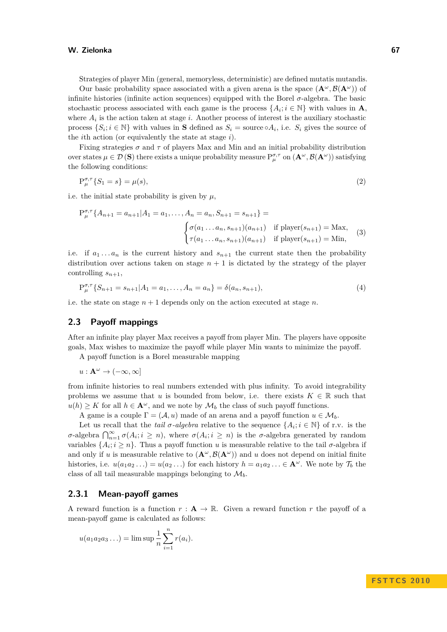#### **W. Zielonka 67**

Strategies of player Min (general, memoryless, deterministic) are defined mutatis mutandis.

Our basic probability space associated with a given arena is the space  $({\bf A}^{\omega}, {\cal B}({\bf A}^{\omega}))$  of infinite histories (infinite action sequences) equipped with the Borel *σ*-algebra. The basic stochastic process associated with each game is the process  $\{A_i; i \in \mathbb{N}\}\$  with values in **A**, where  $A_i$  is the action taken at stage  $i$ . Another process of interest is the auxiliary stochastic process  $\{S_i; i \in \mathbb{N}\}\$  with values in **S** defined as  $S_i = \text{source} \circ A_i$ , i.e.  $S_i$  gives the source of the *i*th action (or equivalently the state at stage *i*).

Fixing strategies *σ* and *τ* of players Max and Min and an initial probability distribution  $\alpha$  over states  $\mu \in \mathcal{D}(\mathbf{S})$  there exists a unique probability measure  $P^{\sigma,\tau}_{\mu}$  on  $(\mathbf{A}^{\omega}, \mathcal{B}(\mathbf{A}^{\omega}))$  satisfying the following conditions:

$$
P_{\mu}^{\sigma,\tau}\{S_1 = s\} = \mu(s),\tag{2}
$$

i.e. the initial state probability is given by  $\mu$ ,

$$
P_{\mu}^{\sigma,\tau} \{ A_{n+1} = a_{n+1} | A_1 = a_1, \dots, A_n = a_n, S_{n+1} = s_{n+1} \} =
$$

$$
\begin{cases} \sigma(a_1 \dots a_n, s_{n+1}) (a_{n+1}) & \text{if player}(s_{n+1}) = \text{Max,} \\ \tau(a_1 \dots a_n, s_{n+1}) (a_{n+1}) & \text{if player}(s_{n+1}) = \text{Min,} \end{cases}
$$
(3)

i.e. if  $a_1 \ldots a_n$  is the current history and  $s_{n+1}$  the current state then the probability distribution over actions taken on stage  $n + 1$  is dictated by the strategy of the player controlling  $s_{n+1}$ ,

$$
P_{\mu}^{\sigma,\tau}\{S_{n+1} = s_{n+1}|A_1 = a_1, \dots, A_n = a_n\} = \delta(a_n, s_{n+1}),
$$
\n(4)

i.e. the state on stage  $n + 1$  depends only on the action executed at stage  $n$ .

### **2.3 Payoff mappings**

After an infinite play player Max receives a payoff from player Min. The players have opposite goals, Max wishes to maximize the payoff while player Min wants to minimize the payoff.

A payoff function is a Borel measurable mapping

 $u: \mathbf{A}^{\omega} \to (-\infty, \infty]$ 

from infinite histories to real numbers extended with plus infinity. To avoid integrability problems we assume that *u* is bounded from below, i.e. there exists  $K \in \mathbb{R}$  such that  $u(h) \geq K$  for all  $h \in \mathbf{A}^{\omega}$ , and we note by  $\mathcal{M}_b$  the class of such payoff functions.

A game is a couple  $\Gamma = (\mathcal{A}, u)$  made of an arena and a payoff function  $u \in \mathcal{M}_b$ .

Let us recall that the *tail*  $\sigma$ -algebra relative to the sequence  $\{A_i; i \in \mathbb{N}\}\$  of r.v. is the *σ*-algebra  $\bigcap_{n=1}^{\infty} \sigma(A_i; i \geq n)$ , where  $\sigma(A_i; i \geq n)$  is the *σ*-algebra generated by random variables  $\{A_i; i \geq n\}$ . Thus a payoff function *u* is measurable relative to the tail  $\sigma$ -algebra if and only if *u* is measurable relative to  $(\mathbf{A}^{\omega}, \mathcal{B}(\mathbf{A}^{\omega}))$  and *u* does not depend on initial finite histories, i.e.  $u(a_1a_2...)=u(a_2...)$  for each history  $h = a_1a_2... \in \mathbf{A}^\omega$ . We note by  $\mathcal{T}_b$  the class of all tail measurable mappings belonging to  $\mathcal{M}_{b}$ .

# **2.3.1 Mean-payoff games**

A reward function is a function  $r : A \to \mathbb{R}$ . Given a reward function r the payoff of a mean-payoff game is calculated as follows:

$$
u(a_1a_2a_3...) = \limsup \frac{1}{n} \sum_{i=1}^n r(a_i).
$$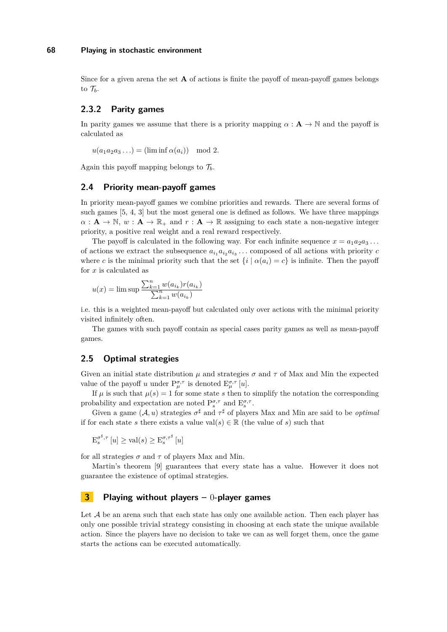#### **68 Playing in stochastic environment**

Since for a given arena the set **A** of actions is finite the payoff of mean-payoff games belongs to  $\mathcal{T}_b$ .

# **2.3.2 Parity games**

In parity games we assume that there is a priority mapping  $\alpha : \mathbf{A} \to \mathbb{N}$  and the payoff is calculated as

 $u(a_1a_2a_3...) = (\liminf \alpha(a_i)) \mod 2.$ 

Again this payoff mapping belongs to  $\mathcal{T}_b$ .

### **2.4 Priority mean-payoff games**

In priority mean-payoff games we combine priorities and rewards. There are several forms of such games [\[5,](#page-7-3) [4,](#page-7-4) [3\]](#page-7-5) but the most general one is defined as follows. We have three mappings  $\alpha : \mathbf{A} \to \mathbb{N}, w : \mathbf{A} \to \mathbb{R}_+$  and  $r : \mathbf{A} \to \mathbb{R}$  assigning to each state a non-negative integer priority, a positive real weight and a real reward respectively.

The payoff is calculated in the following way. For each infinite sequence  $x = a_1 a_2 a_3 \ldots$ of actions we extract the subsequence  $a_{i_1}a_{i_2}a_{i_3} \ldots$  composed of all actions with priority *c* where *c* is the minimal priority such that the set  $\{i \mid \alpha(a_i) = c\}$  is infinite. Then the payoff for *x* is calculated as

$$
u(x) = \limsup \frac{\sum_{k=1}^{n} w(a_{i_k}) r(a_{i_k})}{\sum_{k=1}^{n} w(a_{i_k})}
$$

i.e. this is a weighted mean-payoff but calculated only over actions with the minimal priority visited infinitely often.

The games with such payoff contain as special cases parity games as well as mean-payoff games.

# **2.5 Optimal strategies**

Given an initial state distribution  $\mu$  and strategies  $\sigma$  and  $\tau$  of Max and Min the expected value of the payoff *u* under  $P^{\sigma,\tau}_{\mu}$  is denoted  $E^{\sigma,\tau}_{\mu}$  [*u*].

If  $\mu$  is such that  $\mu(s) = 1$  for some state *s* then to simplify the notation the corresponding probability and expectation are noted  $P_s^{\sigma,\tau}$  and  $E_s^{\sigma,\tau}$ .

Given a game  $(A, u)$  strategies  $\sigma^{\sharp}$  and  $\tau^{\sharp}$  of players Max and Min are said to be *optimal* if for each state *s* there exists a value val $(s) \in \mathbb{R}$  (the value of *s*) such that

$$
\mathrm{E}_{s}^{\sigma^{\sharp},\tau}[u] \geq \mathrm{val}(s) \geq \mathrm{E}_{s}^{\sigma,\tau^{\sharp}}[u]
$$

for all strategies  $\sigma$  and  $\tau$  of players Max and Min.

Martin's theorem [\[9\]](#page-7-6) guarantees that every state has a value. However it does not guarantee the existence of optimal strategies.

# **3 Playing without players –** 0**-player games**

Let  $A$  be an arena such that each state has only one available action. Then each player has only one possible trivial strategy consisting in choosing at each state the unique available action. Since the players have no decision to take we can as well forget them, once the game starts the actions can be executed automatically.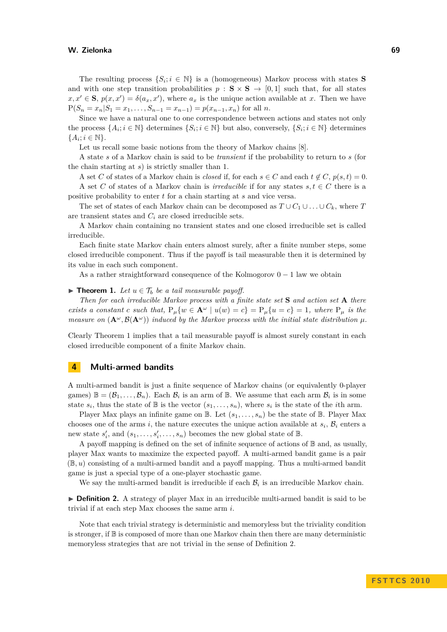#### **W. Zielonka 69**

The resulting process  $\{S_i; i \in \mathbb{N}\}\$ is a (homogeneous) Markov process with states **S** and with one step transition probabilities  $p : S \times S \rightarrow [0,1]$  such that, for all states  $x, x' \in S$ ,  $p(x, x') = \delta(a_x, x')$ , where  $a_x$  is the unique action available at *x*. Then we have  $P(S_n = x_n | S_1 = x_1, \ldots, S_{n-1} = x_{n-1}) = p(x_{n-1}, x_n)$  for all *n*.

Since we have a natural one to one correspondence between actions and states not only the process  $\{A_i; i \in \mathbb{N}\}\$  determines  $\{S_i; i \in \mathbb{N}\}\$  but also, conversely,  $\{S_i; i \in \mathbb{N}\}\$  determines  ${A_i; i \in \mathbb{N}}.$ 

Let us recall some basic notions from the theory of Markov chains [\[8\]](#page-7-7).

A state *s* of a Markov chain is said to be *transient* if the probability to return to *s* (for the chain starting at *s*) is strictly smaller than 1.

A set *C* of states of a Markov chain is *closed* if, for each  $s \in C$  and each  $t \notin C$ ,  $p(s,t) = 0$ .

A set C of states of a Markov chain is *irreducible* if for any states  $s, t \in C$  there is a positive probability to enter *t* for a chain starting at *s* and vice versa.

The set of states of each Markov chain can be decomposed as  $T \cup C_1 \cup \ldots \cup C_k$ , where *T* are transient states and *C<sup>i</sup>* are closed irreducible sets.

A Markov chain containing no transient states and one closed irreducible set is called irreducible.

Each finite state Markov chain enters almost surely, after a finite number steps, some closed irreducible component. Thus if the payoff is tail measurable then it is determined by its value in each such component.

As a rather straightforward consequence of the Kolmogorov  $0 - 1$  law we obtain

# <span id="page-4-0"></span>▶ **Theorem 1.** *Let*  $u \in \mathcal{T}_b$  *be a tail measurable payoff.*

*Then for each irreducible Markov process with a finite state set* **S** *and action set* **A** *there exists a constant c such that,*  $P_u\{w \in \mathbf{A}^\omega \mid u(w) = c\} = P_u\{u = c\} = 1$ , where  $P_u$  is the *measure on*  $(\mathbf{A}^{\omega}, \mathcal{B}(\mathbf{A}^{\omega}))$  *induced by the Markov process with the initial state distribution*  $\mu$ *.* 

Clearly Theorem [1](#page-4-0) implies that a tail measurable payoff is almost surely constant in each closed irreducible component of a finite Markov chain.

# **4 Multi-armed bandits**

A multi-armed bandit is just a finite sequence of Markov chains (or equivalently 0-player games)  $\mathbb{B} = (\mathcal{B}_1, \ldots, \mathcal{B}_n)$ . Each  $\mathcal{B}_i$  is an arm of  $\mathbb{B}$ . We assume that each arm  $\mathcal{B}_i$  is in some state  $s_i$ , thus the state of  $\mathbb{B}$  is the vector  $(s_1, \ldots, s_n)$ , where  $s_i$  is the state of the *i*th arm.

Player Max plays an infinite game on  $\mathbb{B}$ . Let  $(s_1, \ldots, s_n)$  be the state of  $\mathbb{B}$ . Player Max chooses one of the arms *i*, the nature executes the unique action available at  $s_i$ ,  $\mathcal{B}_i$  enters a new state  $s'_i$ , and  $(s_1, \ldots, s'_i, \ldots, s_n)$  becomes the new global state of  $\mathbb{B}$ .

A payoff mapping is defined on the set of infinite sequence of actions of  $\mathbb B$  and, as usually, player Max wants to maximize the expected payoff. A multi-armed bandit game is a pair (B*, u*) consisting of a multi-armed bandit and a payoff mapping. Thus a multi-armed bandit game is just a special type of a one-player stochastic game.

We say the multi-armed bandit is irreducible if each  $B_i$  is an irreducible Markov chain.

<span id="page-4-1"></span>**Definition 2.** A strategy of player Max in an irreducible multi-armed bandit is said to be trivial if at each step Max chooses the same arm *i*.

Note that each trivial strategy is deterministic and memoryless but the triviality condition is stronger, if B is composed of more than one Markov chain then there are many deterministic memoryless strategies that are not trivial in the sense of Definition [2.](#page-4-1)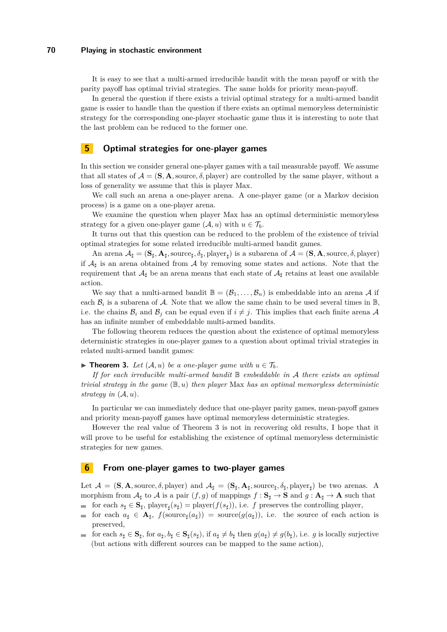### **70 Playing in stochastic environment**

It is easy to see that a multi-armed irreducible bandit with the mean payoff or with the parity payoff has optimal trivial strategies. The same holds for priority mean-payoff.

In general the question if there exists a trivial optimal strategy for a multi-armed bandit game is easier to handle than the question if there exists an optimal memoryless deterministic strategy for the corresponding one-player stochastic game thus it is interesting to note that the last problem can be reduced to the former one.

## **5 Optimal strategies for one-player games**

In this section we consider general one-player games with a tail measurable payoff. We assume that all states of  $A = (\mathbf{S}, \mathbf{A})$ , source,  $\delta$ , player) are controlled by the same player, without a loss of generality we assume that this is player Max.

We call such an arena a one-player arena. A one-player game (or a Markov decision process) is a game on a one-player arena.

We examine the question when player Max has an optimal deterministic memoryless strategy for a given one-player game  $(A, u)$  with  $u \in \mathcal{T}_b$ .

It turns out that this question can be reduced to the problem of the existence of trivial optimal strategies for some related irreducible multi-armed bandit games.

An arena  $A_{\sharp} = (\mathbf{S}_{\sharp}, \mathbf{A}_{\sharp}, \text{source}_{\sharp}, \delta_{\sharp}, \text{player}_{\sharp})$  is a subarena of  $\mathcal{A} = (\mathbf{S}, \mathbf{A}, \text{source}, \delta, \text{player})$ if  $A_{\sharp}$  is an arena obtained from A by removing some states and actions. Note that the requirement that  $A_{\sharp}$  be an arena means that each state of  $A_{\sharp}$  retains at least one available action.

We say that a multi-armed bandit  $\mathbb{B} = (\mathcal{B}_1, \ldots, \mathcal{B}_n)$  is embeddable into an arena A if each  $\mathcal{B}_i$  is a subarena of  $\mathcal{A}$ . Note that we allow the same chain to be used several times in  $\mathbb{B}$ , i.e. the chains  $B_i$  and  $B_j$  can be equal even if  $i \neq j$ . This implies that each finite arena A has an infinite number of embeddable multi-armed bandits.

The following theorem reduces the question about the existence of optimal memoryless deterministic strategies in one-player games to a question about optimal trivial strategies in related multi-armed bandit games:

<span id="page-5-0"></span>▶ **Theorem 3.** *Let*  $(A, u)$  *be a one-player game with*  $u \in T_b$ *.* 

*If for each irreducible multi-armed bandit* B *embeddable in* A *there exists an optimal trivial strategy in the game* (B*, u*) *then player* Max *has an optimal memoryless deterministic strategy in*  $(A, u)$ *.* 

In particular we can immediately deduce that one-player parity games, mean-payoff games and priority mean-payoff games have optimal memoryless deterministic strategies.

However the real value of Theorem [3](#page-5-0) is not in recovering old results, I hope that it will prove to be useful for establishing the existence of optimal memoryless deterministic strategies for new games.

# **6 From one-player games to two-player games**

Let  $\mathcal{A} = (\mathbf{S}, \mathbf{A}, \text{source}, \delta, \text{player})$  and  $\mathcal{A}_{\sharp} = (\mathbf{S}_{\sharp}, \mathbf{A}_{\sharp}, \text{source}_{\sharp}, \delta_{\sharp}, \text{player}_{\sharp})$  be two arenas. A morphism from  $\mathcal{A}_{\sharp}$  to  $\mathcal{A}$  is a pair  $(f, g)$  of mappings  $f : \mathbf{S}_{\sharp} \to \mathbf{S}$  and  $g : \mathbf{A}_{\sharp} \to \mathbf{A}$  such that for each  $s_{\sharp} \in \mathbf{S}_{\sharp}$ , player<sub> $\sharp$ </sub> $(s_{\sharp})$  = player $(f(s_{\sharp}))$ , i.e. *f* preserves the controlling player,

- for each  $a_{\sharp} \in \mathbf{A}_{\sharp}$ ,  $f(\text{source}_{\sharp}(a_{\sharp})) = \text{source}(g(a_{\sharp}))$ , i.e. the source of each action is preserved,
- for each  $s_{\sharp} \in \mathbf{S}_{\sharp}$ , for  $a_{\sharp}, b_{\sharp} \in \mathbf{S}_{\sharp}(s_{\sharp}),$  if  $a_{\sharp} \neq b_{\sharp}$  then  $g(a_{\sharp}) \neq g(b_{\sharp}),$  i.e. g is locally surjective m. (but actions with different sources can be mapped to the same action),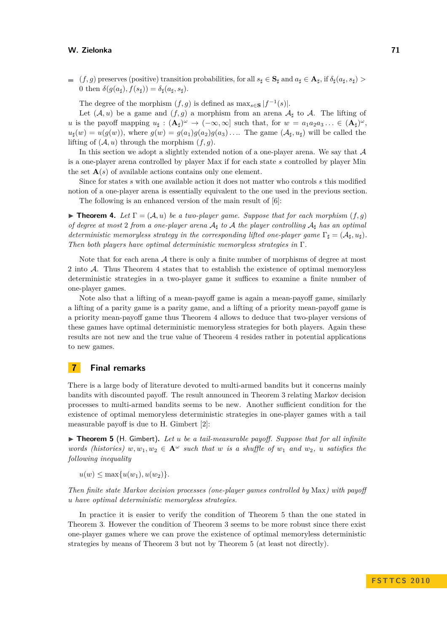#### **W. Zielonka 71**

 $($ *f, g*) preserves (positive) transition probabilities, for all  $s_{\sharp} \in \mathbf{S}_{\sharp}$  and  $a_{\sharp} \in \mathbf{A}_{\sharp}$ , if  $\delta_{\sharp}(a_{\sharp}, s_{\sharp}) >$ 0 then  $\delta(g(a_{\sharp}), f(s_{\sharp})) = \delta_{\sharp}(a_{\sharp}, s_{\sharp}).$ 

The degree of the morphism  $(f, g)$  is defined as  $\max_{s \in S} |f^{-1}(s)|$ .

Let  $(A, u)$  be a game and  $(f, g)$  a morphism from an arena  $A<sub>1</sub>$  to A. The lifting of *u* is the payoff mapping  $u_{\sharp} : (\mathbf{A}_{\sharp})^{\omega} \to (-\infty, \infty]$  such that, for  $w = a_1 a_2 a_3 \dots \in (\mathbf{A}_{\sharp})^{\omega}$ ,  $u_{\sharp}(w) = u(g(w))$ , where  $g(w) = g(a_1)g(a_2)g(a_3) \ldots$  The game  $(A_{\sharp}, u_{\sharp})$  will be called the lifting of  $(A, u)$  through the morphism  $(f, g)$ .

In this section we adopt a slightly extended notion of a one-player arena. We say that  $A$ is a one-player arena controlled by player Max if for each state *s* controlled by player Min the set  $\mathbf{A}(s)$  of available actions contains only one element.

Since for states *s* with one available action it does not matter who controls *s* this modified notion of a one-player arena is essentially equivalent to the one used in the previous section.

The following is an enhanced version of the main result of [\[6\]](#page-7-8):

<span id="page-6-0"></span>**Theorem 4.** Let  $\Gamma = (\mathcal{A}, u)$  be a two-player game. Suppose that for each morphism  $(f, g)$ *of degree at most* 2 *from a one-player arena* A*] to* A *the player controlling* A*] has an optimal deterministic memoryless strategy in the corresponding lifted one-player game*  $\Gamma_{\text{f}} = (\mathcal{A}_{\text{f}}, u_{\text{f}})$ . *Then both players have optimal deterministic memoryless strategies in* Γ*.*

Note that for each arena A there is only a finite number of morphisms of degree at most 2 into A. Thus Theorem [4](#page-6-0) states that to establish the existence of optimal memoryless deterministic strategies in a two-player game it suffices to examine a finite number of one-player games.

Note also that a lifting of a mean-payoff game is again a mean-payoff game, similarly a lifting of a parity game is a parity game, and a lifting of a priority mean-payoff game is a priority mean-payoff game thus Theorem [4](#page-6-0) allows to deduce that two-player versions of these games have optimal deterministic memoryless strategies for both players. Again these results are not new and the true value of Theorem [4](#page-6-0) resides rather in potential applications to new games.

# **7 Final remarks**

There is a large body of literature devoted to multi-armed bandits but it concerns mainly bandits with discounted payoff. The result announced in Theorem [3](#page-5-0) relating Markov decision processes to multi-armed bandits seems to be new. Another sufficient condition for the existence of optimal memoryless deterministic strategies in one-player games with a tail measurable payoff is due to H. Gimbert [\[2\]](#page-7-9):

<span id="page-6-1"></span>▶ **Theorem 5** (H. Gimbert). Let *u* be a tail-measurable payoff. Suppose that for all infinite *words (histories)*  $w, w_1, w_2 \in \mathbf{A}^\omega$  *such that*  $w$  *is a shuffle of*  $w_1$  *and*  $w_2$ *, u satisfies the following inequality*

 $u(w) \leq \max\{u(w_1), u(w_2)\}.$ 

*Then finite state Markov decision processes (one-player games controlled by* Max*) with payoff u have optimal deterministic memoryless strategies.*

In practice it is easier to verify the condition of Theorem [5](#page-6-1) than the one stated in Theorem [3.](#page-5-0) However the condition of Theorem [3](#page-5-0) seems to be more robust since there exist one-player games where we can prove the existence of optimal memoryless deterministic strategies by means of Theorem [3](#page-5-0) but not by Theorem [5](#page-6-1) (at least not directly).